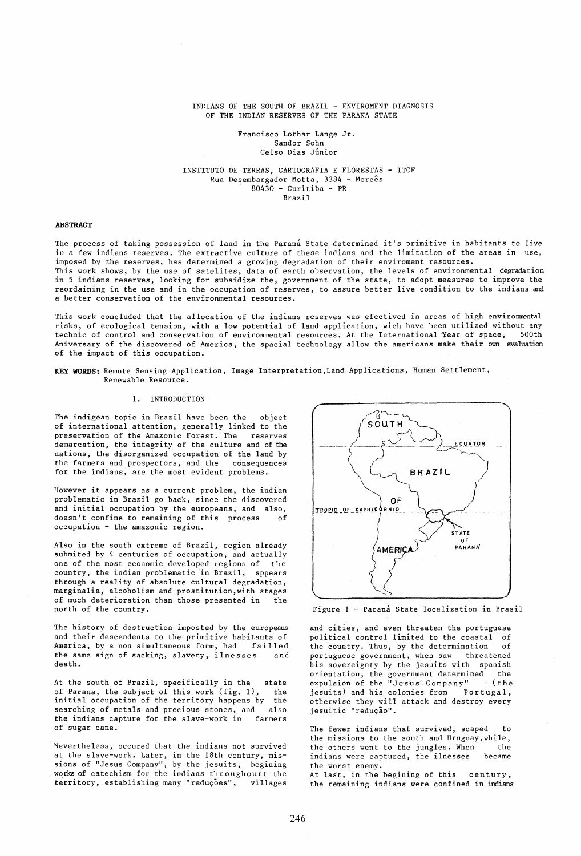# INDIANS OF THE SOUTH OF BRAZIL - ENVIROMENT DIAGNOSIS OF THE INDIAN RESERVES OF THE PARANA STATE

## Francisco Lothar Lange Jr. Sandor Sohn Celso Dias Júnior

# INSTITUTO DE TERRAS, CARTOGRAFIA E FLORESTAS - ITCF Rua Desembargador Motta, 3384 - Mercês  $80430 -$  Curitiba - PR Brazil

# **ABSTRACT**

The process of taking possession of land in the Parana State determined it's primitive in habitants to live in a few indians reserves. The extractive culture of these indians and the limitation of the areas in use, imposed by the reserves, has determined a growing degradation of their enviroment resources. This work shows, by the use of satelites, data of earth observation, the levels of environmental degradation

in 5 indians reserves, looking for subsidize the, government of the state, to adopt measures to improve the reordaining in the use and in the occupation of reserves, to assure better live condition to the indians and a better conservation of the environmental resources.

This work concluded that the allocation of the indians reserves was efectived in areas of high envirormental risks, of ecological tension, with a low potential of land application, wich have been utilized without any<br>technic of control and conservation of envirommental resources. At the International Year of space. 500th technic of control and conservation of environmental resources. At the International Year of space, Aniversary of the discovered of America, the spacial technology allow the americans make their own evaluation of the impact of this occupation.

**KEY WORDS:** Remote Sensing Application, Image Interpretation,Land Applications, Human Settlement, Renewable Resource.

### **1.** INTRODUCTION

The indigean topic in Brazil have been the object of international attention, generally linked to the preservation of the Amazonic Forest. The demarcation, the integrity of the culture and of the nations, the disorganized occupation of the land by the farmers and prospectors, and the consequences for the indians, are the most evident problems.

However it appears as a current problem, the indian problematic in Brazil go back, since the discovered and initial occupation by the europeans, and also, doesn't confine to remaining of this process of occupation - the amazonic region.

Also in the south extreme of Brazil, region already submited by 4 centuries of occupation, and actually one of the most economic developed regions of the country, the indian problematic in Brazil, sppears through a reality of absolute cultural degradation, marginalia, alcoholism and prostitution,with stages of much deterioration than those presented in the north of the country.

The history of destruction imposted by the europeans and their descendents to the primitive habitants of America, by a non simultaneous form, had failled the same sign of sacking, slavery, ilnesses and death.

At the south of Brazil, specifically in the state of Parana, the subject of this work (fig. 1), the initial occupation of the territory happens by the searching of metals and precious stones, and also the indians capture for the slave-work in farmers of sugar cane.

Nevertheless, occured that the indians not survived at the slave-work. Later, in the 18th century, missions of "Jesus Company", by the jesuits, begining works of catechism for the indians throughourt the territory, establishing many "reduções", villages



Figure 1 - Paraná State localization in Brasil

and cities, and even threaten the portuguese political control limited to the coastal of the country. Thus, by the determination of portuguese government, when saw threatened his sovereignty by the jesuits with spanish orientation, the government determined the expulsion of the "Jesus Company" (the expulsion of the "Jesus Company" (the<br>jesuits) and his colonies from Portugal, otherwise they will attack and destroy every jesuitic "redução".

The fewer indians that survived, scaped to the missions to the south and Uruguay,while, the others went to the jungles. When the indians were captured, the ilnesses became the worst enemy. At last, in the begining of this century, the remaining indians were confined in indians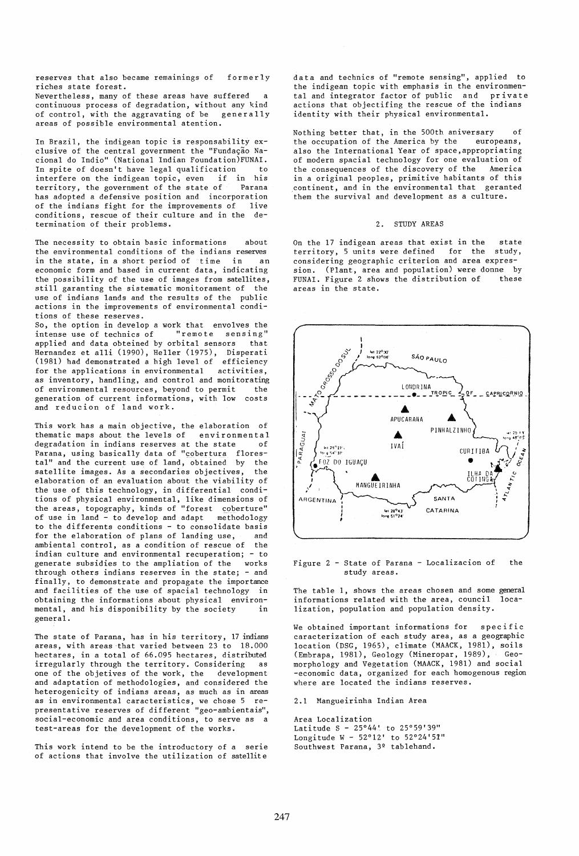reserves that also became remainings of riches state forest. formerly

Nevertheless, many of these areas have suffered a continuous process of degradation, without any kind<br>of control, with the aggravating of be generally of control, with the aggravating of be areas of possible environmental atention.

In Brazil, the indigean topic is responsability exclusive of the central government the "Fundação Nacional do Indio" (National Indian Foundation)FUNAI. In spite of doesn't have legal qualification to<br>interfere on the indigean topic, even if in his interfere on the indigean topic, even if in his<br>territory, the covernment of the state of Parana territory, the government of the state of has adopted a defensive position and incorporation<br>of the indians fight for the improvements of live of the indians fight for the improvements of conditions, rescue of their culture and in the determination of their problems.

The necessity to obtain basic informations about the environmental conditions of the indians reserves in the state, in a short period of time in an economic form and based in current data, indicating the possibility of the use of images from satellites, still garanting the sistematic monitorament of the use of indians lands and the results of the public actions in the improvements of environmental conditions of these reserves.

So, the option in develop a work that envolves the intense use of technics of "remote sensing" intense use of technics of "remote sensing" applied and data obteined by orbital sensors Hernandez et alIi (1990), Heller (1975), Disperati (1981) had demonstrated a high level of efficiency for the applications in environmental activities, as inventory, handling, and control and monitorating of environmental resources, beyond to permit the<br>generation of current informations, with low costs generation of current informations, with low and reducion of land work.

This work has a main objective, the elaboration of thematic maps about the levels of environmental<br>degradation in indians reserves at the state of degradation in indians reserves at the state Parana, using basically data of "cobertura florestal" and the current use of land, obtained by the satellite images. As a secondaries objectives, the elaboration of an evaluation about the viability of the use of this technology, in differential conditions of physical environmental, like dimensions of the areas, topography, kinds of "forest coberture" of use in land - to develop and adapt methodology to the differents conditions - to consolidate basis for the elaboration of plans of landing use, and ambiental control, as a condition of rescue of the indian culture and environmental recuperation; - to generate subsidies to the ampliation of the works through others indians reserves in the state; - and finally, to demonstrate and propagate the importance and facilities of the use of spacial technology in obtaining the informations about physical environmental, and his disponibility by the society in general.

The state of Parana, has in his territory, 17 indians areas, with areas that varied between 23 to 18.000 hectares, in a total of 66.095 hectares, distributed irregularly through the territory. Considering as one of the objetives of the work, the development and adaptation of methodologies, and considered the heterogenicity of indians areas, as much as in areas as in environmental caracteristics, we chose 5 representative reserves of different "geo-ambientais", social-economic and area conditions, to serve as a test-areas for the development of the works.

This work intend to be the introductory of a serie of actions that involve the utilization of satellite

data and technics of "remote sensing", applied to the indigean topic with emphasis in the environmental and integrator factor of public and private actions that objectifing the rescue of the indians identity with their physical environmental.

Nothing better that, in the 500th aniversary of the occupation of the America by the europeans, also the International Year of space,appropriating of modern spacial technology for one evaluation of the consequences of the discovery of the America in a original peoples, primitive habitants of this continent, and in the environmental that geranted them the survival and development as a culture.

# 2. STUDY AREAS

On the  $17$  indigean areas that exist in the state territory. 5 units were defined for the study. territory, 5 units were defined for the considering geographic criterion and area expression. (Plant, area and population) were donne by<br>FUNAI, Figure 2 shows the distribution of these FUNAI. Figure 2 shows the distribution of areas in the state.



Figure 2 - State of Parana - Localizacion of the study areas.

The table 1, shows the areas chosen and some general informations related with the area, council localization, population and population density.

We obtained important informations for specific caracterization of each study area, as a geographic location (DSG, 1965), climate (MAACK, 1981), soils (Embrapa, 1981), Geology (Mineropar, 1989), Geomorphology and Vegetation (MAACK, 1981) and social -economic data, organized for each homogenous region where are located the indians reserves.

2.1 Mangueirinha Indian Area

Area Localization Latitude S - 25°44'. to 25°59'39" Longitude W - 52°12' to 52°24'51" Southwest Parana, 3º tablehand.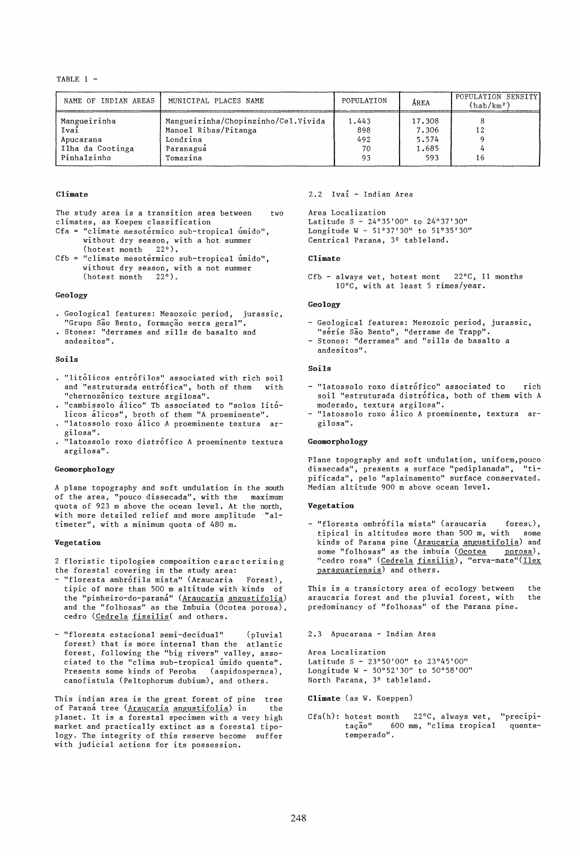TABLE  $1 -$ 

| NAME OF INDIAN AREAS                                                 | MUNICIPAL PLACES NAME                                                                            | POPULATION                      | ÁREA                                     | POPULATION SENSITY<br>$(hab/km^2)$ |  |  |
|----------------------------------------------------------------------|--------------------------------------------------------------------------------------------------|---------------------------------|------------------------------------------|------------------------------------|--|--|
| Mangueirinha<br>Ivai<br>Apucarana<br>Ilha da Cootinga<br>Pinhalzinho | Mangueirinha/Chopinzinho/Cel.Vivida<br>Manoel Ribas/Pitanga<br>Londrina<br>Paranagua<br>Tomazina | 1.443<br>898<br>492<br>70<br>93 | 17.308<br>7.306<br>5.574<br>1.685<br>593 | 12<br>16                           |  |  |

# Climate

The study area is a transition area between two climates, as Koepen classification

- Cfa = "climate mesotérmico sub-tropical úmido", without dry season, with a hot summer (hotest month 22°).
- $Cfb = "climate mesotérmico sub-tropical úmido",$ without dry season, with a not summer (hotest month 22°).

#### Geology

- Geological features: Mesozoic period, jurassic, "Grupo São Bento, formação serra geral".
- Stones: "derrames and sills de basalto and andesitos".

### Soils

- . "litólicos entrófilos" associated with rich soil and "estruturada entrofica", both of them with "chernozênico texture argilosa".
- "cambisso10 alico" Tb associated to "solos litolicos alicos", broth of them "A proeminente".
- · "latossolo roxo alico A proeminente textura argilosa".
- "latossolo roxo distrofico A proeminente textura argilosa".

#### Geomorphology

A plane topography and soft undulation in the south of the area, "pouco dissecada", with the maximum quota of 923 m above the ocean level. At the north, with more detailed relief and more amplitude "altimeter", with a minimum quota of 480 m.

# Vegetation

2 floristic tipologies composition caracterizing the forestal covering in the study area:

- "floresta ambrófila mista" (Araucaria Forest), tipic of more than 500 m altitude with kinds of the "pinheiro-do-paraná" (Araucaria angustifolia) and the "folhosas" as the Imbuia (Ocotea porosa), cedro (Cedrela fissilis( and others.
- "floresta estacional semi-decidual" (pluvial forest) that is more internal than the atlantic forest, following the "big rivers" valley, associated to the "clima sub-tropical umido quente". Presents some kinds of Peroba (aspidospernca), canofistula (Peltophorum dubium), and others.

This indian area is the great forest of pine tree of Paraná tree (Araucaria angustifolia) in the planet. It is a forestal specimen with a very high market and practically extinct as a forestal tipology. The integrity of this reserve become suffer with judicial actions for its possession.

# 2.2 Iva1 - Indian Area

Area Localization Latitude S - 24°35'00" to 24°37'30" Longitude W - 51°37'30" to 51°35'30" Centrical Parana, 3º tableland.

### Climate

Cfb - always wet, hotest mont 22°C, 11 months 10°C, with at least 5 rimes/year.

#### Geology

- Geological features: Mesozoic period, jurassic, "série São Bento", "derrame de Trapp".
- Stones: "derrames" and "sills de basalto a andesitos".

# Soils

- "latossolo roxo distrofico" associated to rich soil "estruturada distrófica, both of them with A moderado, textura argilosa".
- "latossolo roxo álico A proeminente, textura argilosa".

#### Geomorphology

Plane topography and soft undulation, uniform, pouco<br>dissecada", presents a surface "pediplanada", "tidissecada", presents a surface "pediplanada", pificada", pelo "aplainamento" surface conservated. Median altitude 900 m above ocean level.

#### Vegetation

- "floresta ombrófila mista" (araucaria forest), tipical in altitudes more than 500 m, with some kinds of Parana pine (Araucaria angustifolia) and some "folhosas" as the imbuia (Ocotea porosa), "cedro rosa" (Cedrela fissilis), "erva-mate"(Ilex paraguariensis) and others.

This is a transictory area of ecology between the araucaria forest and the pluvial forest, with the predominancy of "folhosas" of the Parana pine.

2.3 Apucarana - Indian Area

Area Localization Latitude S - 23°50'00" to 23°45'00" Longitude W - 50°52'30" to 50°58'00" North Parana, 3º tableland.

Climate (as W. Koeppen)

Cfa(h): hotest month 22 $^{\circ}$ C, always wet,<br>tação" 600 mm, "clima tropical 600 mm, "clima tropical temperado". "precipiquente-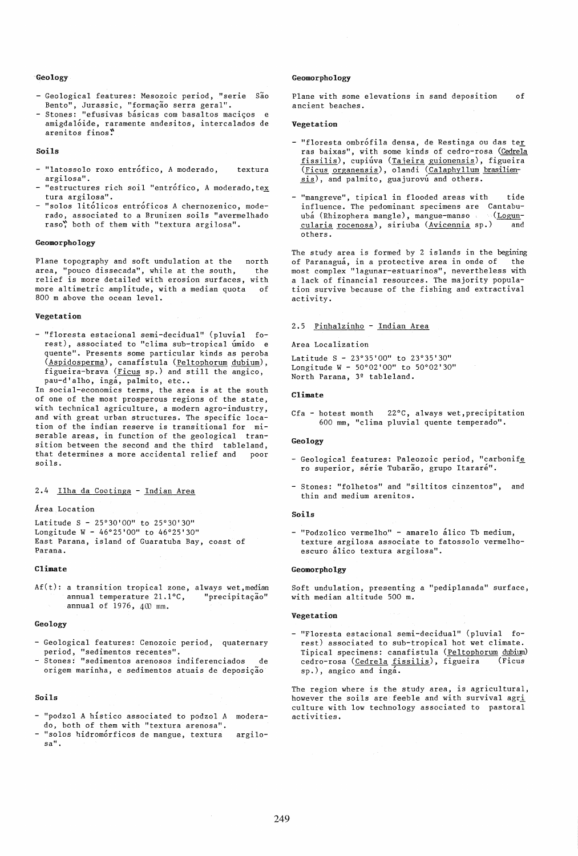### Geology

- Geological features: Mesozoic period, "serie Sao Bento", Jurassic, "formação serra geral".
- Stones: "efusivas básicas com basaltos maciços e amigdalóide, raramente andesitos, intercalados de areni tos finos!'

### Soils

- "latossolo roxo entrófico, A moderado, textura argilosa".
- $-$  "estructures rich soil "entrófico, A moderado, tex tura argilosa".
- "solos litolicos entroficos A chernozenico, moderado, associated to a Brunizen soils "avermelhado raso, both of them with "textura argilosa".

### Geomorphology

Plane topography and soft undulation at the area, "pouco dissecada", while at the south, relief is more detailed with erosion surfaces, with more altimetric amplitude, with a median quota of 800 m above the ocean level. north the

## Vegetation

- "floresta estacional semi-decidual" (pluvial forest), associated to "clima sub-tropical umido e quente". Presents some particular kinds as peroba (Aspidosperma), canafistula (Peltophorum dubium), figueira-brava (Ficus sp.) and still the angico, pau-d'alho, ingá, palmito, etc..

In social-economics terms, the area is at the south of one of the most prosperous regions of the state, with technical agriculture, a modern agro-industry, and with great urban structures. The specific location of the indian reserve is transitional for miserable areas, in function of the geological transition between the second and the third tableland, that determines a more accidental relief and poor soils.

2.4 Ilha da Cootinga - Indian Area

# Area Location

Latitude S - 25°30'00" to 25°30'30" Longitude W - 46°25'00" to 46°25'30" East Parana, island of Guaratuba Bay, coast of Parana.

#### Climate

Af(t): a transition tropical zone, always wet, median annual temperature  $21.1^{\circ}C$ , "precipitação" annual temperature 21.1°C, annual of  $1976$ ,  $400$  mm.

#### Geology

- Geological features: Cenozoic period, quaternary period, "sedimentos recentes".
- Stones: "sedimentos arenosos indiferenciados de origem marinha, e sedimentos atuais de deposição

# Soils

- "podzol A histico associated to podzol A moderado, both of them with "textura arenosa".
- "solos hidromórficos de mangue, textura argilosa".

#### Geomorphology

Plane with some elevations in sand deposition ancient beaches. of

### Vegetation

- "floresta ombrófila densa, de Restinga ou das ter ras baixas", with some kinds of cedro-rosa (Cedrela fissilis), cupiúva (Tajeira guionensis), figueira (Ficus organensis), olandi (Calaphyllum brasiliensis), and palmito, guajurovu and others.
- "mangreve", tipical in flooded areas with tide influence. The pedominant specimens are Cantabuuba (Rhizophera mangle), mangue-manso (Loguncularia rocenosa), siriuba (Avicennia sp.) and others.

The study area is formed by 2 islands in the begining of Paranagua, in a protective area in onde of the most complex "lagunar-estuarinos", nevertheless with a lack of financial resources. The majority population survive because of the fishing and extractival activity.

# 2.5 Pinhalzinho - Indian Area

Area Localization

Latitude S - 23°35'00" to 23°35'30" Longitude W - 50°02'00" to 50°02'30" North Parana, 3º tableland.

# Climate

Cfa - hotest month 22°C, always wet,precipitation 600 mm, "clima pluvial quente temperado".

# Geology

- Geological features: Paleozoic period, "carbonife ro superior, série Tubarão, grupo Itararé".
- Stones: "folhetos" and "siltitos cinzentos", and thin and medium arenitos.

#### Soils

- "Podzolico vermelho" - amarelo álico Tb medium, texture argilosa associate to fatossolo vermelhoescuro álico textura argilosa".

#### Geomorpholgy

Soft undulation, presenting a "pediplanada" surface, with median altitude 500 m.

#### Vegetation

- "Floresta estacional semi-decidual" (pluvial forest) associated to sub-tropical hot wet climate. Tipical specimens: canafistula (Peltophorum dubium) cedro-rosa (Cedrela fissilis), figueira (Ficus sp.), angico and inga.

The region where is the study area, is agricultural, however the soils are feeble and with survival agri culture with low technology associated to pastoral activities.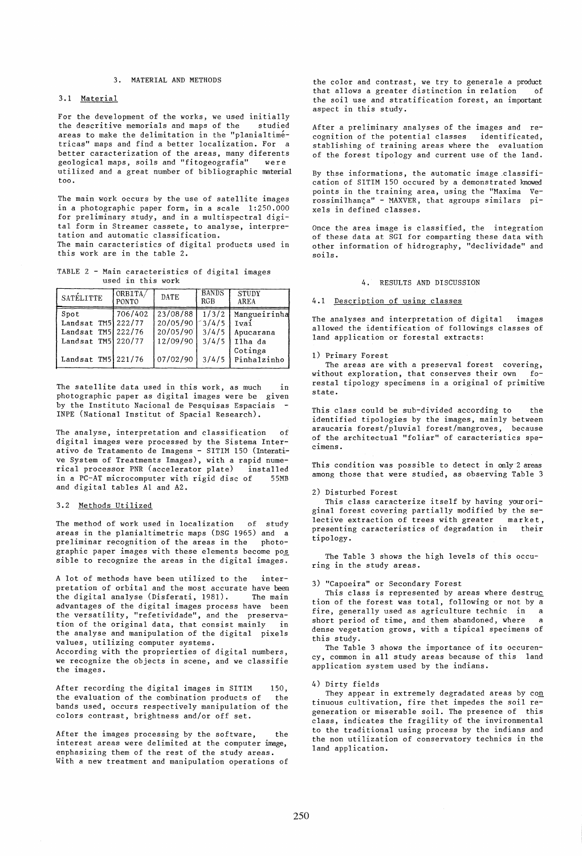### 3. MATERIAL AND METHODS

# 3.1 Material

For the development of the works, we used initially<br>the descritive memorials and maps of the studied the descritive memorials and maps of the areas to make the delimitation in the "planialtimetricas" maps and find a better localization. For a better caracterization of the areas, many diferents geological maps, soils and "fitogeografia" were uti lized and a great number of bibliographic material too.

The main work occurs by the use of satellite images in a photographic paper form, in a scale 1:250.000 for preliminary study, and in a multispectral digital form in Streamer cassete, to analyse, interpretation and automatic classification.

The main caracteristics of digital products used in this work are in the table 2.

TABLE 2 - Main caracteristics of digital images used in this work

| SATÉLITTE                                                                                        | ORBITA/<br>PONTO | DATE                                                     | <b>BANDS</b><br>RGB                       | <b>STUDY</b><br>AREA                                                   |  |
|--------------------------------------------------------------------------------------------------|------------------|----------------------------------------------------------|-------------------------------------------|------------------------------------------------------------------------|--|
| Spot<br>Landsat TM5 222/77<br>Landsat TM5 $222/76$<br>Landsat TM5 220/77<br>Landsat $TM5$ 221/76 | 706/402          | 23/08/88<br>20/05/90<br>20/05/90<br>12/09/90<br>07/02/90 | 1/3/2<br>3/4/5<br>3/4/5<br>3/4/5<br>3/4/5 | Mangueirinha<br>Ivai<br>Apucarana<br>Ilha da<br>Cotinga<br>Pinhalzinho |  |

The satellite data used in this work, as much in photographic paper as digital images were be given by the Instituto Nacional de Pesquisas Espaciais INPE (National Institut of Spacial Research).

The analyse, interpretation and classification of digital images were processed by the Sistema Interativo de Tratamento de Imagens - SITIM 150 (Interative System of Treatments Images), with a rapid nume-rical processor PNR (accelerator plate) installed in a PC-AT microcomputer with rigid disc of 55MB and digital tables Al and A2.

# 3.2 Methods Utilized

The method of work used in localization of study areas in the p1anialtimetric maps (DSG 1965) and a preliminar recognition of the areas in the graphic paper images with these elements become pos sible to recognize the areas in the digital images.

A lot of methods have been utilized to the interpretation of orbital and the most accurate have been the digital analyse (Disferati, 1981). The main advantages of the digital images process have been the versatility, "refetividade", and the preservation of the original data, that consist mainly in the analyse and manipulation of the digital pixels values, utilizing computer systems. According with the proprierties of digital numbers, we recognize the objects in scene, and we classifie the images.

After recording the digital images in SITIM 150, the evaluation of the combination products of the bands used, occurs respectively manipulation of the colors contrast, brightness and/or off set.

After the images processing by the software, the interest areas were delimited at the computer image, enphasizing them of the rest of the study areas. With a new treatment and manipulation operations of

the color and contrast, we try to generale a product<br>that allows a greater distinction in relation of that allows a greater distinction in relation the soil use and stratification forest, an important aspect in this study.

After a preliminary analyses of the images and recognition of the potential classes identificated, stablishing of training areas where the evaluation of the forest tipology and current use of the land.

By thse informations, the automatic image .classification of SITIM 150 occured by a demonstrated knowed points in the training area, using the "Maxima Ve-.<br>rossimilhança" - MAXVER, that agroups similars pixels in defined classes.

Once the area image is classified, the integration of these data at SGI for comparting these data with other information of hidrography, "declividade" and soils.

#### 4. RESULTS AND DISCUSSION

### 4.1 Description of using classes

The analyses and interpretation of digital images allowed the identification of followings classes of land application or forestal extracts:

# 1) Primary Forest

The areas are with a preserval forest covering, without exploration, that conserves their own forestal tipology specimens in a original of primitive state.

This class could be sub-divided according to the identified tipologies by the images, mainly between araucaria forest/pluvial forest/mangroves, because of the architectual "foliar" of caracteristics specimens.

This condition was possible to detect in only 2 areas among those that were studied, as observing Table 3

#### 2) Disturbed Forest

This class caracterize itself by having youroriginal forest covering partially modified by the selective extraction of trees with greater market, presenting caracteristics of degradation in their tipology.

The Table 3 shows the high levels of this occuring in the study areas.

#### 3) "Capoeira" or Secondary Forest

This class is represented by areas where destruc tion of the forest was total, following or not by a fire, generally used as agriculture technic in a short period of time, and them abandoned, where a dense vegetation grows, with a tipical specimens of this study.

The Table 3 shows the importance of its occurency, common in all study areas because of this land application system used by the indians.

# 4) Dirty fields

They appear in extremely degradated areas by  $con$ tinuous cultivation, fire thet impedes the soil regeneration or miserable soil. The presence of this class, indicates the fragility of the invironmental to the traditional using process by the indians and the non utilization of conservatory technics in the land application.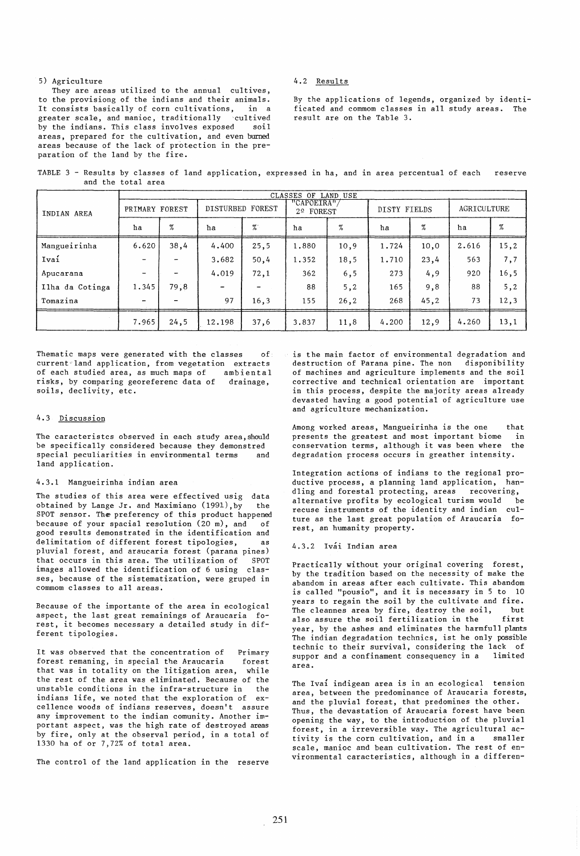# 5) Agriculture

They are areas utilized to the annual cultives, to the provisiong of the indians and their animals. It consists basically of corn cultivations, in a greater scale, and manioc, traditionally cultived<br>by the indians. This class involves exposed soil by the indians. This class involves exposed areas, prepared for the cultivation, and even burned areas because of the lack of protection in the preparation of the land by the fire.

### 4.2 Results

By the applications of legends, organized by identificated and commom classes in all study areas. The result are on the Table 3.

TABLE 3 - Results by classes of land application, expressed in ha, and in area percentual of each and the total area reserve

|                 | CLASSES OF LAND USE      |      |                          |        |                         |      |              |      |             |      |
|-----------------|--------------------------|------|--------------------------|--------|-------------------------|------|--------------|------|-------------|------|
| INDIAN AREA     | PRIMARY FOREST           |      | DISTURBED FOREST         |        | "CAPOEIRA"<br>2º FOREST |      | DISTY FIELDS |      | AGRICULTURE |      |
|                 | ha                       | $\%$ | ha                       | $\%$ . | ha                      | %    | ha           | %    | ha          | %    |
| Mangueirinha    | 6.620                    | 38,4 | 4,400                    | 25,5   | 1,880                   | 10,9 | 1.724        | 10,0 | 2.616       | 15,2 |
| Ivaí            |                          |      | 3.682                    | 50,4   | 1.352                   | 18,5 | 1.710        | 23,4 | 563         | 7,7  |
| Apucarana       | $\overline{\phantom{0}}$ |      | 4.019                    | 72,1   | 362                     | 6, 5 | 273          | 4, 9 | 920         | 16,5 |
| Ilha da Cotinga | 1.345                    | 79,8 | $\overline{\phantom{a}}$ |        | 88                      | 5, 2 | 165          | 9,8  | 88          | 5, 2 |
| Tomazina        | $\overline{\phantom{0}}$ |      | 97                       | 16,3   | 155                     | 26,2 | 268          | 45.2 | 73          | 12,3 |
|                 | 7.965                    | 24,5 | 12.198                   | 37,6   | 3.837                   | 11,8 | 4.200        | 12,9 | 4.260       | 13,1 |

Thematic maps were generated with the classes of current land application, from vegetation extracts of each studied area, as much maps of ambiental risks, by comparing georeferenc data of drainage, soils, declivity, etc.

### 4.3 Discussion

The caracteristcs observed in each study area, should be specifically considered because they demonstred special peculiarities in environmental terms and land application.

#### 4.3.1 Mangueirinha indian area

The studies of this area were effectived usig data obtained by Lange Jr. and Maximiano (1991),by the SPOT sensor. The preferency of this product happened<br>because of your spacial resolution  $(20 \text{ m})$ . and of because of your spacial resolution (20 m), and good results demonstrated in the identification and delimitation of different forest tipologies, as pluvial forest, and araucaria forest (parana pines) that occurs in this area. The utilization of SPOT images allowed the identification of 6 using classes, because of the sistematization, were gruped in commom classes to all areas.

Because of the importante of the area in ecological aspect, the last great remainings of Araucaria forest, it becomes necessary a detailed study in different tipologies.

It was observed that the concentration of Primary forest remaning, in special the Araucaria forest that was in totality on the litigation area, while the rest of the area was eliminated. Because of the unstable conditions in the infra-structure in the indians life, we noted that the exploration of excellence woods of indians reserves, doesn't assure any improvement to the indian comunity. Another important aspect, was the high rate of destroyed areas by fire, only at the observal period, in a total of 1330 ha of or 7,72% of total area.

The control of the land application in the reserve

is the main factor of environmental degradation and destruction of Parana pine. The non disponibility of machines and agriculture implements and the soil corrective and technical orientation are important in this process, despite the majority areas already devasted having a good potential of agriculture use and agriculture mechanization.

Among worked areas, Mangueirinha is the one that<br>presents the greatest and most important biome in presents the greatest and most important biome in conservation terms, although it was been where degradation process occurs in greather intensity.

Integration actions of indians to the regional productive process, a planning land application, han-<br>dling and forestal protecting, areas recovering, dling and forestal protecting, areas alternative profits by ecological turism would be recuse instruments of the identity and indian culture as the last great population of Araucaria forest, an humanity property.

### 4.3.2 Ivai Indian area

Practically without your original covering forest, by the tradition based on the necessity of make the abandom in areas after each cultivate. This abandom is called "pousio", and it is necessary in 5 to 10 years to regain the soil by the cultivate and fire. .<br>The cleannes area by fire, destroy the soil, but<br>also assure the soil fertilization in the first also assure the soil fertilization in the year, by the ashes and eliminates the harmfull plants The indian degradation technics, ist he only possible technic to their survival, considering the lack of suppor and a confinament consequency in a area.

The Ivai indigean area is in an ecological tension area, between the predominance of Araucaria forests, and the pluvial forest, that predomines the other. Thus, the devastation of Araucaria forest have been opening the way, to the introduction of the pluvial forest, in a irreversible way. The agricultural activity is the corn cultivation, and in a scale, manioc and bean cultivation. The rest of environmental caracteristics, although in a differen-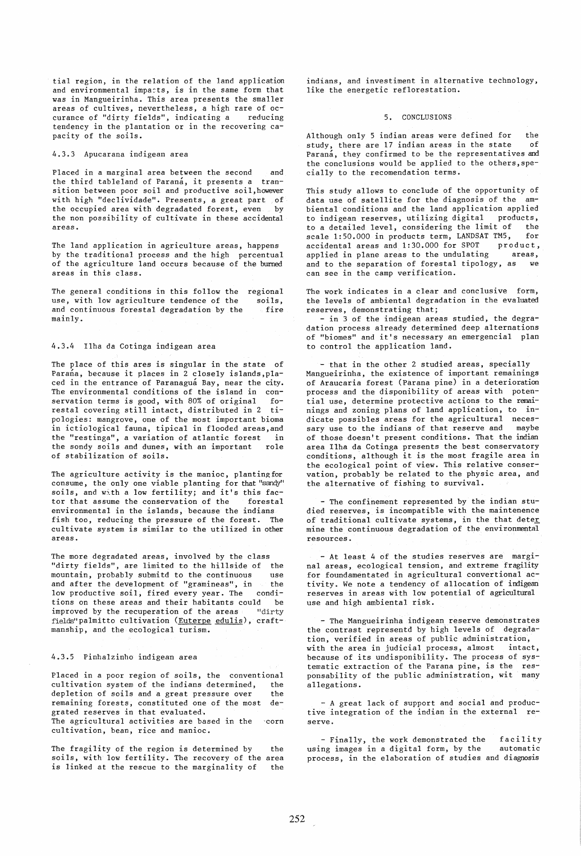tial region, in the relation of the land application and environmental impacts, is in the same form that was in Mangueirinha. This area presents the smaller areas of cultives, nevertheless, a high rare of oc-<br>curance of "dirty fields", indicating a seducing curance of "dirty fields", indicating a tendency in the plantation or in the recovering capacity of the soils.

# 4.3.3 Apucarana indigean area

Placed in a marginal area between the second and the third tableland of Paraná, it presents a transition between poor soil and productive soil,however with high "declividade". Presents, a great part of<br>the occupied area with degradated forest, even by the occupied area with degradated forest, even the non possibility of cultivate in these accidental areas.

The land application in agriculture areas, happens by the traditional process and the high percentual of the agriculture land occurs because of the burned areas in this class.

The general conditions in this follow the use, with low agriculture tendence of the and continuous forestal degradation by the mainly. regional soils, fire

# 4.3.4 Ilha da Cotinga indigean area

The place of this ares is singular in the state of Parana, because it places in 2 closely islands, placed in the entrance of Paranagua Bay, near the city. The environmental conditions of the island in con-<br>servation terms is good, with 80% of original foservation terms is good, with 80% of original fo-<br>restal covering still intact, distributed in 2 tirestal covering still intact, distributed in 2 pologies: mangrove, one of the most important bioma in ictiological fauna, tipical in flooded areas,and the "restinga", a variation of atlantic forest in the sondy soils and dunes, with an important role of stabilization of soils.

The agriculture activity is the manioc, planting for consume, the only one viable planting for that "sandy" soils, and with a low fertility; and it's this fac-<br>tor that assume the conservation of the forestal tor that assume the conservation of the environmental in the islands, because the indians fish too, reducing the pressure of the forest. The cultivate system is similar to the utilized in other areas.

The more degradated areas, involved by the class "dirty fields", are limited to the hillside of the mountain, probably submitd to the continuous and after the development of "gramineas", in the low productive soil, fired every year. The condilow productive soil, fired every year. The tions on these areas and their habitants could be<br>improved by the recuperation of the areas "dirty improved by the recuperation of the areas fields"palmitto cultivation (Euterpe edulis), craftmanship, and the ecological turism.

### 4.3.5 Pinhalzinho indigean area

Placed in a poor region of soils, the conventional<br>cultivation system of the indians determined, the cultivation system of the indians determined, depletion of soils and a great pressure over the remaining forests, constituted one of the most degrated reserves in that evaluated.

The agricultural activities are based in the 'corn cultivation, bean, rice and manioc.

The fragility of the region is determined by the soils, with low fertility. The recovery of the area is linked at the rescue to the marginality of the

indians, and investiment in alternative technology, like the energetic reflorestation.

# 5. CONCLUSIONS

Although only 5 indian areas were defined for the state of study, there are 17 indian areas in the state Parana, they confirmed to be the representatives and the conclusions would be applied to the others,specially to the recomendation terms.

This study allows to conclude of the opportunity of data use of satellite for the diagnosis of the ambiental conditions and the land application applied<br>to indigean reserves, utilizing digital products, to indigean reserves, utilizing digital products, to a detailed level, considering the limit of the<br>scale 1:50,000 in products term. LANDSAT TM5, for scale  $1:50.000$  in products term, LANDSAT TM5, accidental areas and 1:30.000 for SPOT product,<br>applied in plane areas to the undulating areas. applied in plane areas to the undulating and to the separation of forestal tipology, as we can see in the camp verification.

The work indicates in a clear and conclusive form, the levels of ambiental degradation in the evaluated reserves, demonstrating that;

- in 3 of the indigean areas studied, the degradation process already determined deep alternations of "biomes" and it's necessary an emergencial plan to control the application land.

- that in the other 2 studied areas, specially Mangueirinha, the existence of important remainings of Araucaria forest (Parana pine) in a deterioration process and the disponibility of areas with potential use, determine protective actions to the reminings and zoning plans of land application, to indicate possibles areas for the agricultural neces-<br>sary use to the indians of that reserve and maybe sary use to the indians of that reserve and of those doesn't present conditions. That the indian area Ilha da Cotinga presents the best conservatory conditions, although it is the most fragile area in the ecological point of view. This relative conservation, probably be related to the physic area, and the alternative of fishing to survival.

- The confinement represented by the indian studied reserves, is incompatible with the maintenence of traditional cultivate systems, in the that deter mine the continuous degradation of the environmental resources.

- At least 4 of the studies reserves are marginal areas, ecological tension, and extreme fragility for foundamentated in agricultural convertional activity. We note a tendency of allocation of indigean reserves in areas wi th low potential of agricultural use and high ambiental risk.

- The Mangueirinha indigean reserve demonstrates the contrast representd by high levels of degradation, verified in areas of public administration, with the area in judicial process, almost intact, because of its undisponibility. The process of systematic extraction of the Parana pine, is the responsability of the public administration, wit many allegations.

- A great lack of support and social and productive integration of the indian in the external reserve.

- Finally, the work demonstrated the facility<br>ng images in a digital form, by the sautomatic using images in a digital form, by the process, in the elaboration of studies and diagnosis